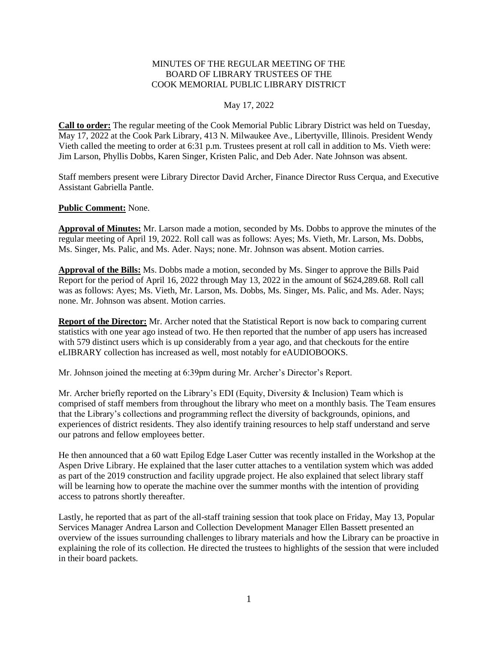### MINUTES OF THE REGULAR MEETING OF THE BOARD OF LIBRARY TRUSTEES OF THE COOK MEMORIAL PUBLIC LIBRARY DISTRICT

### May 17, 2022

**Call to order:** The regular meeting of the Cook Memorial Public Library District was held on Tuesday, May 17, 2022 at the Cook Park Library, 413 N. Milwaukee Ave., Libertyville, Illinois. President Wendy Vieth called the meeting to order at 6:31 p.m. Trustees present at roll call in addition to Ms. Vieth were: Jim Larson, Phyllis Dobbs, Karen Singer, Kristen Palic, and Deb Ader. Nate Johnson was absent.

Staff members present were Library Director David Archer, Finance Director Russ Cerqua, and Executive Assistant Gabriella Pantle.

#### **Public Comment:** None.

**Approval of Minutes:** Mr. Larson made a motion, seconded by Ms. Dobbs to approve the minutes of the regular meeting of April 19, 2022. Roll call was as follows: Ayes; Ms. Vieth, Mr. Larson, Ms. Dobbs, Ms. Singer, Ms. Palic, and Ms. Ader. Nays; none. Mr. Johnson was absent. Motion carries.

**Approval of the Bills:** Ms. Dobbs made a motion, seconded by Ms. Singer to approve the Bills Paid Report for the period of April 16, 2022 through May 13, 2022 in the amount of \$624,289.68. Roll call was as follows: Ayes; Ms. Vieth, Mr. Larson, Ms. Dobbs, Ms. Singer, Ms. Palic, and Ms. Ader. Nays; none. Mr. Johnson was absent. Motion carries.

**Report of the Director:** Mr. Archer noted that the Statistical Report is now back to comparing current statistics with one year ago instead of two. He then reported that the number of app users has increased with 579 distinct users which is up considerably from a year ago, and that checkouts for the entire eLIBRARY collection has increased as well, most notably for eAUDIOBOOKS.

Mr. Johnson joined the meeting at 6:39pm during Mr. Archer's Director's Report.

Mr. Archer briefly reported on the Library's EDI (Equity, Diversity & Inclusion) Team which is comprised of staff members from throughout the library who meet on a monthly basis. The Team ensures that the Library's collections and programming reflect the diversity of backgrounds, opinions, and experiences of district residents. They also identify training resources to help staff understand and serve our patrons and fellow employees better.

He then announced that a 60 watt Epilog Edge Laser Cutter was recently installed in the Workshop at the Aspen Drive Library. He explained that the laser cutter attaches to a ventilation system which was added as part of the 2019 construction and facility upgrade project. He also explained that select library staff will be learning how to operate the machine over the summer months with the intention of providing access to patrons shortly thereafter.

Lastly, he reported that as part of the all-staff training session that took place on Friday, May 13, Popular Services Manager Andrea Larson and Collection Development Manager Ellen Bassett presented an overview of the issues surrounding challenges to library materials and how the Library can be proactive in explaining the role of its collection. He directed the trustees to highlights of the session that were included in their board packets.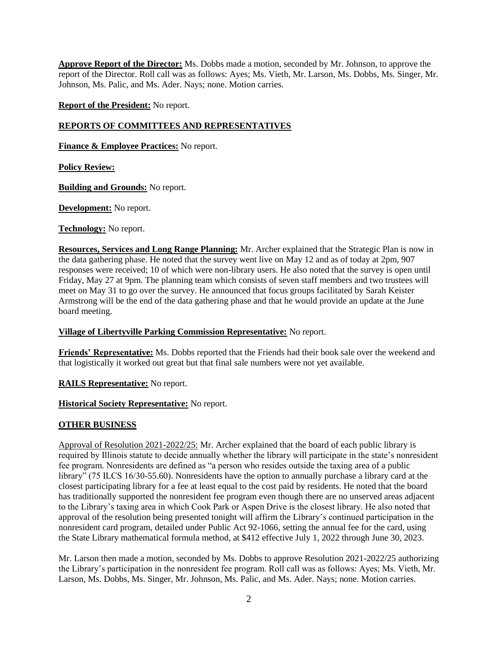**Approve Report of the Director:** Ms. Dobbs made a motion, seconded by Mr. Johnson, to approve the report of the Director. Roll call was as follows: Ayes; Ms. Vieth, Mr. Larson, Ms. Dobbs, Ms. Singer, Mr. Johnson, Ms. Palic, and Ms. Ader. Nays; none. Motion carries.

**Report of the President:** No report.

## **REPORTS OF COMMITTEES AND REPRESENTATIVES**

**Finance & Employee Practices:** No report.

**Policy Review:**

**Building and Grounds:** No report.

**Development:** No report.

**Technology:** No report.

**Resources, Services and Long Range Planning:** Mr. Archer explained that the Strategic Plan is now in the data gathering phase. He noted that the survey went live on May 12 and as of today at 2pm, 907 responses were received; 10 of which were non-library users. He also noted that the survey is open until Friday, May 27 at 9pm. The planning team which consists of seven staff members and two trustees will meet on May 31 to go over the survey. He announced that focus groups facilitated by Sarah Keister Armstrong will be the end of the data gathering phase and that he would provide an update at the June board meeting.

# **Village of Libertyville Parking Commission Representative:** No report.

**Friends' Representative:** Ms. Dobbs reported that the Friends had their book sale over the weekend and that logistically it worked out great but that final sale numbers were not yet available.

**RAILS Representative:** No report.

**Historical Society Representative:** No report.

# **OTHER BUSINESS**

Approval of Resolution 2021-2022/25: Mr. Archer explained that the board of each public library is required by Illinois statute to decide annually whether the library will participate in the state's nonresident fee program. Nonresidents are defined as "a person who resides outside the taxing area of a public library" (75 ILCS 16/30-55.60). Nonresidents have the option to annually purchase a library card at the closest participating library for a fee at least equal to the cost paid by residents. He noted that the board has traditionally supported the nonresident fee program even though there are no unserved areas adjacent to the Library's taxing area in which Cook Park or Aspen Drive is the closest library. He also noted that approval of the resolution being presented tonight will affirm the Library's continued participation in the nonresident card program, detailed under Public Act 92-1066, setting the annual fee for the card, using the State Library mathematical formula method, at \$412 effective July 1, 2022 through June 30, 2023.

Mr. Larson then made a motion, seconded by Ms. Dobbs to approve Resolution 2021-2022/25 authorizing the Library's participation in the nonresident fee program. Roll call was as follows: Ayes; Ms. Vieth, Mr. Larson, Ms. Dobbs, Ms. Singer, Mr. Johnson, Ms. Palic, and Ms. Ader. Nays; none. Motion carries.